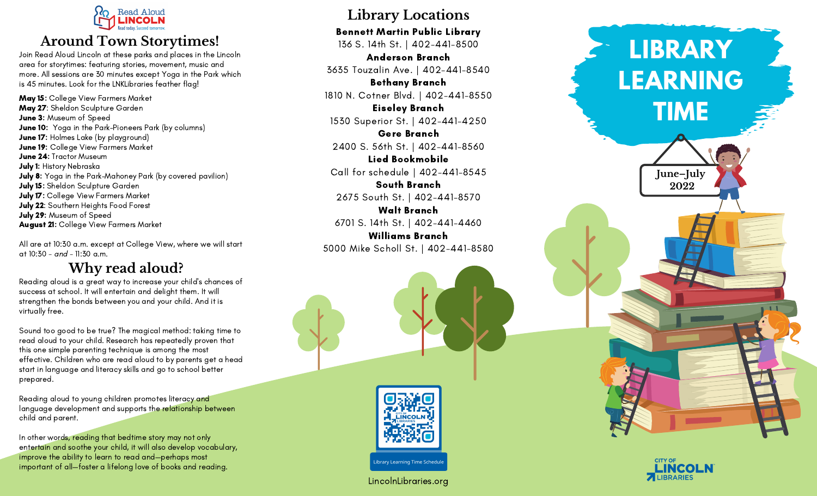

## **o**wn Storytimes!

Join Read Aloud Lincoln at these parks and places in the Lincoln area for storytimes: featuring stories, movement, music and more. All sessions are 30 minutes except Yoga in the Park which is 45 minutes. Look for the LNKLibraries feather flag!

**May 15:** College View Farmers Market **May 27**: Sheldon Sculpture Garden **June 3:** Museum of Speed **June 10:** Yoga in the Park-Pioneers Park (by columns) **June 17:** Holmes Lake (by playground) **June 19:** College View Farmers Market **June 24:** Tractor Museum **July 1:** History Nebraska **July 8:** Yoga in the Park-Mahoney Park (by covered pavilion) **July 15:** Sheldon Sculpture Garden **July 17:** College View Farmers Market **July 22**: Southern Heights Food Forest **July 29:** Museum of Speed **August 21:** College View Farmers Market **Around To**<br>ead Aloud Lincoln at<br>or storytimes: featuri<br>All sessions are 30 m<br>minutes. Look for the<br>5: College View Farr<br>7: Sheldon Sculpture<br>7: Holmes Lake (by p<br>9: College View Farr<br>24: Tractor Museum<br>History Nebraska<br>:

All are at 10:30 a.m. except at College View, where we will start at 10:30 - *and* - 11:30

## **W h y r e a d a l o u d ?**

Reading aloud is a great way to increase your child's chances of success at school. It will entertain and delight them. It will strengthen the bonds between you and your child. And it is virtually free.

Sound too good to be true? The magical method: taking tim e t o read aloud to your child. Research has repeatedly proven that this one simple parenting technique is among the most effective. Children who are read aloud to by parents get a head start in language and literacy skills and go to school better prepared.

Reading aloud to young children promotes literacy and language development and supports the relationship between child and parent.

In other words, reading that bedtime story may not only entertain and soothe your child, it will also develop vocabulary, improve the ability to learn to read and—perhaps most important of all—foster a lifelong love of books and reading.

# **Library Locations**

Bennett Martin Public Library 136 S. 14th St. | 402-441-8500

Anderson Branch 3635 Touzalin Ave. | 402-441-8540

Bethany Branch

1810 N. Cotner Blvd. | 402-441-8550

Eiseley Branch

1530 Superior St. | 402-441-4250 Gere Branch

2400 S. 56th St. | 402-441-8560

Lied Bookmobile Call for schedule | 402-441-8545

South Branch

2675 South St. | 402–441–8570

Walt Branch 6701 S. 14th St. | 402-441-4460 Williams Branch

5000 Mike Scholl St. | 402-441-8580



ibrary Learning Time Schedul

LincolnLibraries.org



**L I B RA RY**

**LEARNING** 

**T I M E**

**J u n e –J u l y 2 0 2 2**